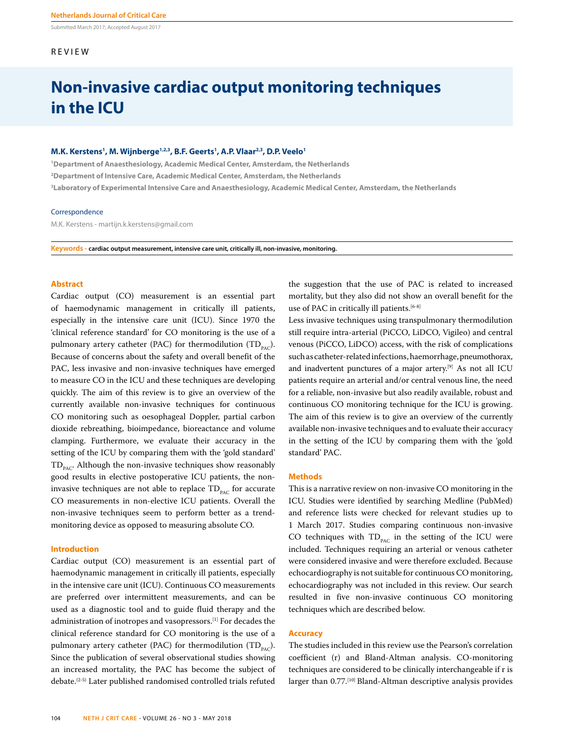Submitted March 2017; Accepted August 2017

#### REVIEW

### **Non-invasive cardiac output monitoring techniques in the ICU**

#### **M.K. Kerstens1 , M. Wijnberge1,2,3, B.F. Geerts1 , A.P. Vlaar2,3, D.P. Veelo1**

**1 Department of Anaesthesiology, Academic Medical Center, Amsterdam, the Netherlands 2 Department of Intensive Care, Academic Medical Center, Amsterdam, the Netherlands 3 Laboratory of Experimental Intensive Care and Anaesthesiology, Academic Medical Center, Amsterdam, the Netherlands**

#### Correspondence

M.K. Kerstens - martijn.k.kerstens@gmail.com

**Keywords - cardiac output measurement, intensive care unit, critically ill, non-invasive, monitoring.**

#### **Abstract**

Cardiac output (CO) measurement is an essential part of haemodynamic management in critically ill patients, especially in the intensive care unit (ICU). Since 1970 the 'clinical reference standard' for CO monitoring is the use of a pulmonary artery catheter (PAC) for thermodilution (TD<sub>pAC</sub>). Because of concerns about the safety and overall benefit of the PAC, less invasive and non-invasive techniques have emerged to measure CO in the ICU and these techniques are developing quickly. The aim of this review is to give an overview of the currently available non-invasive techniques for continuous CO monitoring such as oesophageal Doppler, partial carbon dioxide rebreathing, bioimpedance, bioreactance and volume clamping. Furthermore, we evaluate their accuracy in the setting of the ICU by comparing them with the 'gold standard'  $TD_{p_{AC}}$ . Although the non-invasive techniques show reasonably good results in elective postoperative ICU patients, the noninvasive techniques are not able to replace  $TD_{p_{AC}}$  for accurate CO measurements in non-elective ICU patients. Overall the non-invasive techniques seem to perform better as a trendmonitoring device as opposed to measuring absolute CO.

#### **Introduction**

Cardiac output (CO) measurement is an essential part of haemodynamic management in critically ill patients, especially in the intensive care unit (ICU). Continuous CO measurements are preferred over intermittent measurements, and can be used as a diagnostic tool and to guide fluid therapy and the administration of inotropes and vasopressors.[1] For decades the clinical reference standard for CO monitoring is the use of a pulmonary artery catheter (PAC) for thermodilution (TD<sub>PAC</sub>). Since the publication of several observational studies showing an increased mortality, the PAC has become the subject of debate.(2-5) Later published randomised controlled trials refuted the suggestion that the use of PAC is related to increased mortality, but they also did not show an overall benefit for the use of PAC in critically ill patients.<sup>[6-8]</sup>

Less invasive techniques using transpulmonary thermodilution still require intra-arterial (PiCCO, LiDCO, Vigileo) and central venous (PiCCO, LiDCO) access, with the risk of complications such as catheter-related infections, haemorrhage, pneumothorax, and inadvertent punctures of a major artery.<sup>[9]</sup> As not all ICU patients require an arterial and/or central venous line, the need for a reliable, non-invasive but also readily available, robust and continuous CO monitoring technique for the ICU is growing. The aim of this review is to give an overview of the currently available non-invasive techniques and to evaluate their accuracy in the setting of the ICU by comparing them with the 'gold standard' PAC.

#### **Methods**

This is a narrative review on non-invasive CO monitoring in the ICU. Studies were identified by searching Medline (PubMed) and reference lists were checked for relevant studies up to 1 March 2017. Studies comparing continuous non-invasive CO techniques with  $TD_{PAC}$  in the setting of the ICU were included. Techniques requiring an arterial or venous catheter were considered invasive and were therefore excluded. Because echocardiography is not suitable for continuous CO monitoring, echocardiography was not included in this review. Our search resulted in five non-invasive continuous CO monitoring techniques which are described below.

#### **Accuracy**

The studies included in this review use the Pearson's correlation coefficient (r) and Bland-Altman analysis. CO-monitoring techniques are considered to be clinically interchangeable if r is larger than 0.77.<sup>[10]</sup> Bland-Altman descriptive analysis provides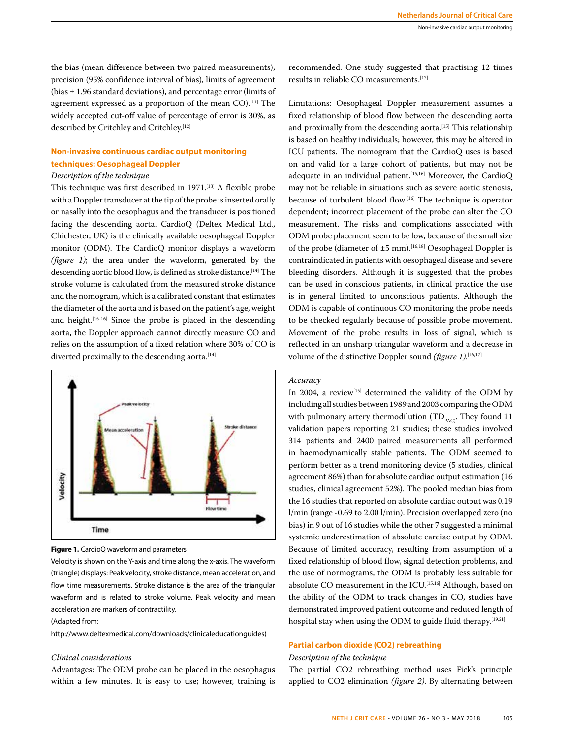the bias (mean difference between two paired measurements), precision (95% confidence interval of bias), limits of agreement (bias ± 1.96 standard deviations), and percentage error (limits of agreement expressed as a proportion of the mean CO).[11] The widely accepted cut-off value of percentage of error is 30%, as described by Critchley and Critchley.[12]

#### **Non-invasive continuous cardiac output monitoring techniques: Oesophageal Doppler**

#### *Description of the technique*

This technique was first described in 1971.[13] A flexible probe with a Doppler transducer at the tip of the probe is inserted orally or nasally into the oesophagus and the transducer is positioned facing the descending aorta. CardioQ (Deltex Medical Ltd., Chichester, UK) is the clinically available oesophageal Doppler monitor (ODM). The CardioQ monitor displays a waveform *(figure 1)*; the area under the waveform, generated by the descending aortic blood flow, is defined as stroke distance.<sup>[14]</sup> The stroke volume is calculated from the measured stroke distance and the nomogram, which is a calibrated constant that estimates the diameter of the aorta and is based on the patient's age, weight and height.[15-16] Since the probe is placed in the descending aorta, the Doppler approach cannot directly measure CO and relies on the assumption of a fixed relation where 30% of CO is diverted proximally to the descending aorta.<sup>[14]</sup>



**Figure 1.** CardioQ waveform and parameters

Velocity is shown on the Y-axis and time along the x-axis. The waveform (triangle) displays: Peak velocity, stroke distance, mean acceleration, and flow time measurements. Stroke distance is the area of the triangular waveform and is related to stroke volume. Peak velocity and mean acceleration are markers of contractility.

#### (Adapted from:

http://www.deltexmedical.com/downloads/clinicaleducationguides)

#### *Clinical considerations*

Advantages: The ODM probe can be placed in the oesophagus within a few minutes. It is easy to use; however, training is

recommended. One study suggested that practising 12 times results in reliable CO measurements.[17]

Limitations: Oesophageal Doppler measurement assumes a fixed relationship of blood flow between the descending aorta and proximally from the descending aorta.<sup>[15]</sup> This relationship is based on healthy individuals; however, this may be altered in ICU patients. The nomogram that the CardioQ uses is based on and valid for a large cohort of patients, but may not be adequate in an individual patient.<sup>[15,16]</sup> Moreover, the CardioQ may not be reliable in situations such as severe aortic stenosis, because of turbulent blood flow.<sup>[16]</sup> The technique is operator dependent; incorrect placement of the probe can alter the CO measurement. The risks and complications associated with ODM probe placement seem to be low, because of the small size of the probe (diameter of  $\pm 5$  mm).<sup>[16,18]</sup> Oesophageal Doppler is contraindicated in patients with oesophageal disease and severe bleeding disorders. Although it is suggested that the probes can be used in conscious patients, in clinical practice the use is in general limited to unconscious patients. Although the ODM is capable of continuous CO monitoring the probe needs to be checked regularly because of possible probe movement. Movement of the probe results in loss of signal, which is reflected in an unsharp triangular waveform and a decrease in volume of the distinctive Doppler sound *(figure 1)*. [16,17]

#### *Accuracy*

In 2004, a review<sup>[15]</sup> determined the validity of the ODM by including all studies between 1989 and 2003 comparing the ODM with pulmonary artery thermodilution  $(TD_{\text{PAC}})$ . They found 11 validation papers reporting 21 studies; these studies involved 314 patients and 2400 paired measurements all performed in haemodynamically stable patients. The ODM seemed to perform better as a trend monitoring device (5 studies, clinical agreement 86%) than for absolute cardiac output estimation (16 studies, clinical agreement 52%). The pooled median bias from the 16 studies that reported on absolute cardiac output was 0.19 l/min (range -0.69 to 2.00 l/min). Precision overlapped zero (no bias) in 9 out of 16 studies while the other 7 suggested a minimal systemic underestimation of absolute cardiac output by ODM. Because of limited accuracy, resulting from assumption of a fixed relationship of blood flow, signal detection problems, and the use of normograms, the ODM is probably less suitable for absolute CO measurement in the ICU.<sup>[15,16]</sup> Although, based on the ability of the ODM to track changes in CO, studies have demonstrated improved patient outcome and reduced length of hospital stay when using the ODM to guide fluid therapy.<sup>[19,21]</sup>

#### **Partial carbon dioxide (CO2) rebreathing**

#### *Description of the technique*

The partial CO2 rebreathing method uses Fick's principle applied to CO2 elimination *(figure 2)*. By alternating between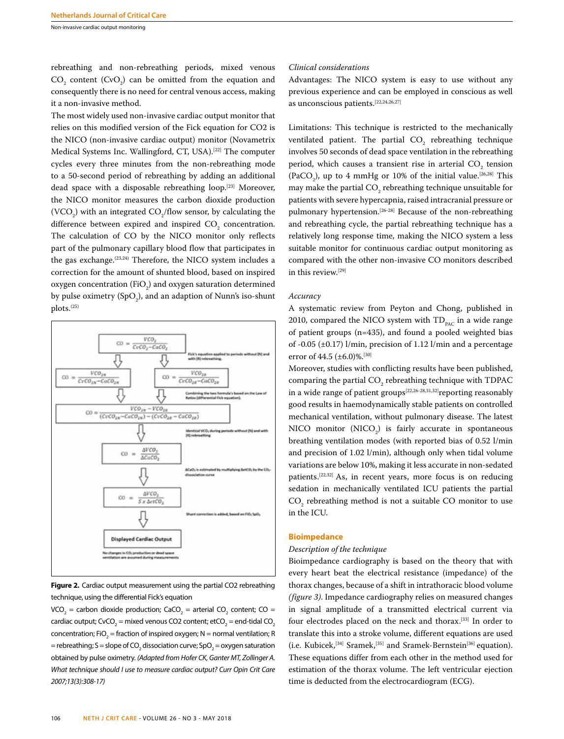Non-invasive cardiac output monitoring

rebreathing and non-rebreathing periods, mixed venous  $CO_2$  content (CvO<sub>2</sub>) can be omitted from the equation and consequently there is no need for central venous access, making it a non-invasive method.

The most widely used non-invasive cardiac output monitor that relies on this modified version of the Fick equation for CO2 is the NICO (non-invasive cardiac output) monitor (Novametrix Medical Systems Inc. Wallingford, CT, USA).[22] The computer cycles every three minutes from the non-rebreathing mode to a 50-second period of rebreathing by adding an additional dead space with a disposable rebreathing loop.[23] Moreover, the NICO monitor measures the carbon dioxide production (VCO<sub>2</sub>) with an integrated CO<sub>2</sub>/flow sensor, by calculating the difference between expired and inspired  $CO<sub>2</sub>$  concentration. The calculation of CO by the NICO monitor only reflects part of the pulmonary capillary blood flow that participates in the gas exchange.<sup> $(23,24)$ </sup> Therefore, the NICO system includes a correction for the amount of shunted blood, based on inspired oxygen concentration (FiO<sub>2</sub>) and oxygen saturation determined by pulse oximetry (SpO<sub>2</sub>), and an adaption of Nunn's iso-shunt plots.(25)



**Figure 2.** Cardiac output measurement using the partial CO2 rebreathing technique, using the differential Fick's equation

VCO<sub>2</sub> = carbon dioxide production; CaCO<sub>2</sub> = arterial CO<sub>2</sub> content; CO = cardiac output; CvCO<sub>2</sub> = mixed venous CO2 content; etCO<sub>2</sub> = end-tidal CO<sub>2</sub> concentration; FiO<sub>2</sub> = fraction of inspired oxygen; N = normal ventilation; R = rebreathing; S = slope of CO<sub>2</sub> dissociation curve; SpO<sub>2</sub> = oxygen saturation obtained by pulse oximetry. *(Adapted from Hofer CK, Ganter MT, Zollinger A. What technique should I use to measure cardiac output? Curr Opin Crit Care 2007;13(3):308-17)*

#### 106 **NETH J CRIT CARE** - VOLUME 26 - NO 3 - MAY 2018

#### *Clinical considerations*

Advantages: The NICO system is easy to use without any previous experience and can be employed in conscious as well as unconscious patients.[22,24,26,27]

Limitations: This technique is restricted to the mechanically ventilated patient. The partial  $CO<sub>2</sub>$  rebreathing technique involves 50 seconds of dead space ventilation in the rebreathing period, which causes a transient rise in arterial  $CO<sub>2</sub>$  tension (PaCO<sub>2</sub>), up to 4 mmHg or 10% of the initial value.<sup>[26,28]</sup> This may make the partial  $\mathrm{CO}_2$  rebreathing technique unsuitable for patients with severe hypercapnia, raised intracranial pressure or pulmonary hypertension.<sup>[26-28]</sup> Because of the non-rebreathing and rebreathing cycle, the partial rebreathing technique has a relatively long response time, making the NICO system a less suitable monitor for continuous cardiac output monitoring as compared with the other non-invasive CO monitors described in this review.[29]

#### *Accuracy*

A systematic review from Peyton and Chong, published in 2010, compared the NICO system with  $TD_{p_{AC}}$  in a wide range of patient groups (n=435), and found a pooled weighted bias of -0.05 (±0.17) l/min, precision of 1.12 l/min and a percentage error of 44.5  $(\pm 6.0)\%$ .<sup>[30]</sup>

Moreover, studies with conflicting results have been published, comparing the partial  $CO<sub>2</sub>$  rebreathing technique with TDPAC in a wide range of patient groups<sup>[22,26-28,31,32]</sup>reporting reasonably good results in haemodynamically stable patients on controlled mechanical ventilation, without pulmonary disease. The latest NICO monitor  $(NICO<sub>2</sub>)$  is fairly accurate in spontaneous breathing ventilation modes (with reported bias of 0.52 l/min and precision of 1.02 l/min), although only when tidal volume variations are below 10%, making it less accurate in non-sedated patients.[22,32] As, in recent years, more focus is on reducing sedation in mechanically ventilated ICU patients the partial  $\text{CO}_2$  rebreathing method is not a suitable CO monitor to use in the ICU.

#### **Bioimpedance**

#### *Description of the technique*

Bioimpedance cardiography is based on the theory that with every heart beat the electrical resistance (impedance) of the thorax changes, because of a shift in intrathoracic blood volume *(figure 3)*. Impedance cardiography relies on measured changes in signal amplitude of a transmitted electrical current via four electrodes placed on the neck and thorax.[33] In order to translate this into a stroke volume, different equations are used (i.e. Kubicek,[34] Sramek,[35] and Sramek-Bernstein[36] equation). These equations differ from each other in the method used for estimation of the thorax volume. The left ventricular ejection time is deducted from the electrocardiogram (ECG).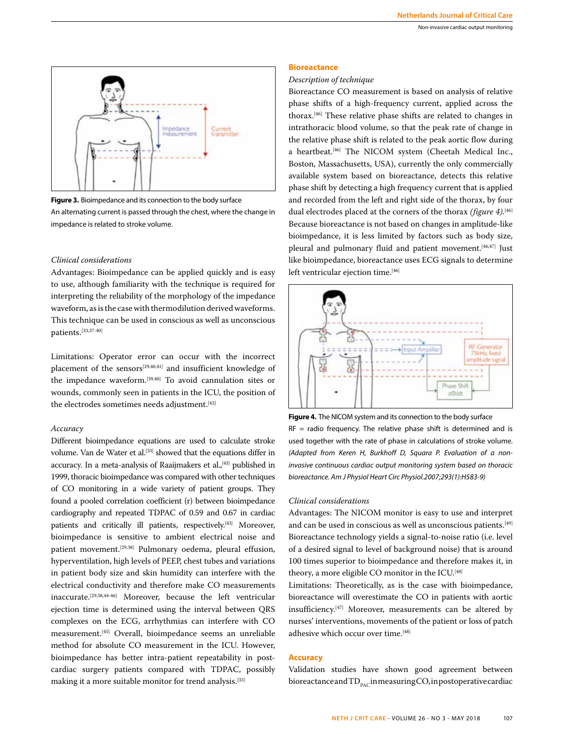



**Figure 3.** Bioimpedance and its connection to the body surface

An alternating current is passed through the chest, where the change in impedance is related to stroke volume.

#### *Clinical considerations*

Advantages: Bioimpedance can be applied quickly and is easy to use, although familiarity with the technique is required for interpreting the reliability of the morphology of the impedance waveform, as is the case with thermodilution derived waveforms. This technique can be used in conscious as well as unconscious patients.[33,37-40]

Limitations: Operator error can occur with the incorrect placement of the sensors[29,40,41] and insufficient knowledge of the impedance waveform.[39,40] To avoid cannulation sites or wounds, commonly seen in patients in the ICU, the position of the electrodes sometimes needs adjustment.<sup>[42]</sup>

#### *Accuracy*

Different bioimpedance equations are used to calculate stroke volume. Van de Water et al.[33] showed that the equations differ in accuracy. In a meta-analysis of Raaijmakers et al.,<sup>[43]</sup> published in 1999, thoracic bioimpedance was compared with other techniques of CO monitoring in a wide variety of patient groups. They found a pooled correlation coefficient (r) between bioimpedance cardiography and repeated TDPAC of 0.59 and 0.67 in cardiac patients and critically ill patients, respectively.<sup>[43]</sup> Moreover, bioimpedance is sensitive to ambient electrical noise and patient movement.<sup>[29,38]</sup> Pulmonary oedema, pleural effusion, hyperventilation, high levels of PEEP, chest tubes and variations in patient body size and skin humidity can interfere with the electrical conductivity and therefore make CO measurements inaccurate.[29,38,44-46] Moreover, because the left ventricular ejection time is determined using the interval between QRS complexes on the ECG, arrhythmias can interfere with CO measurement.[45] Overall, bioimpedance seems an unreliable method for absolute CO measurement in the ICU. However, bioimpedance has better intra-patient repeatability in postcardiac surgery patients compared with TDPAC, possibly making it a more suitable monitor for trend analysis.[33]

#### **Bioreactance**

#### *Description of technique*

Bioreactance CO measurement is based on analysis of relative phase shifts of a high-frequency current, applied across the thorax.[46] These relative phase shifts are related to changes in intrathoracic blood volume, so that the peak rate of change in the relative phase shift is related to the peak aortic flow during a heartbeat.[46] The NICOM system (Cheetah Medical Inc., Boston, Massachusetts, USA), currently the only commercially available system based on bioreactance, detects this relative phase shift by detecting a high frequency current that is applied and recorded from the left and right side of the thorax, by four dual electrodes placed at the corners of the thorax *(figure 4)*. [46] Because bioreactance is not based on changes in amplitude-like bioimpedance, it is less limited by factors such as body size, pleural and pulmonary fluid and patient movement.<sup>[46,47]</sup> Just like bioimpedance, bioreactance uses ECG signals to determine left ventricular ejection time.<sup>[46]</sup>



 $RF =$  radio frequency. The relative phase shift is determined and is used together with the rate of phase in calculations of stroke volume. *(Adapted from Keren H, Burkhoff D, Squara P. Evaluation of a noninvasive continuous cardiac output monitoring system based on thoracic bioreactance. Am J Physiol Heart Circ Physiol.2007;293(1):H583-9)*

#### *Clinical considerations*

Advantages: The NICOM monitor is easy to use and interpret and can be used in conscious as well as unconscious patients.<sup>[49]</sup> Bioreactance technology yields a signal-to-noise ratio (i.e. level of a desired signal to level of background noise) that is around 100 times superior to bioimpedance and therefore makes it, in theory, a more eligible CO monitor in the ICU.<sup>[48]</sup>

Limitations: Theoretically, as is the case with bioimpedance, bioreactance will overestimate the CO in patients with aortic insufficiency.[47] Moreover, measurements can be altered by nurses' interventions, movements of the patient or loss of patch adhesive which occur over time.<sup>[48]</sup>

#### **Accuracy**

Validation studies have shown good agreement between bioreactance and  $TD_{p_{AC}}$  in measuring CO, in postoperative cardiac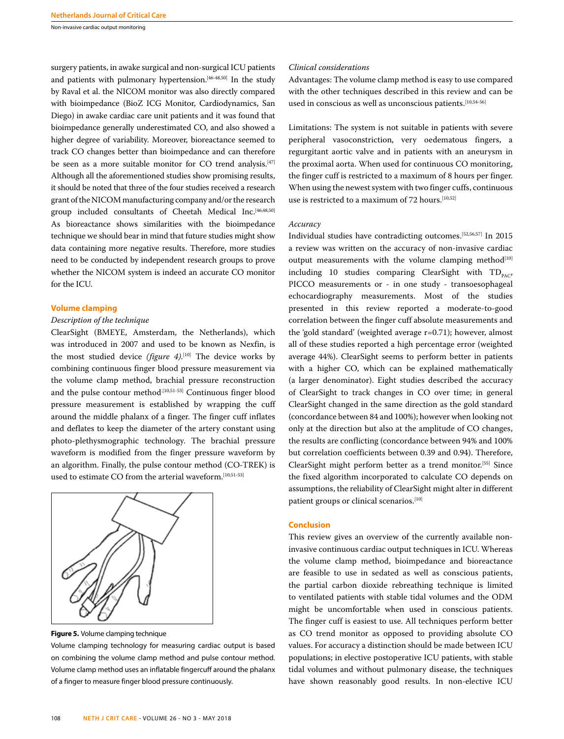Non-invasive cardiac output monitoring

surgery patients, in awake surgical and non-surgical ICU patients and patients with pulmonary hypertension.[46-48,50] In the study by Raval et al. the NICOM monitor was also directly compared with bioimpedance (BioZ ICG Monitor, Cardiodynamics, San Diego) in awake cardiac care unit patients and it was found that bioimpedance generally underestimated CO, and also showed a higher degree of variability. Moreover, bioreactance seemed to track CO changes better than bioimpedance and can therefore be seen as a more suitable monitor for CO trend analysis.<sup>[47]</sup> Although all the aforementioned studies show promising results, it should be noted that three of the four studies received a research grant of the NICOM manufacturing company and/or the research group included consultants of Cheetah Medical Inc.<sup>[46,48,50]</sup> As bioreactance shows similarities with the bioimpedance technique we should bear in mind that future studies might show data containing more negative results. Therefore, more studies need to be conducted by independent research groups to prove whether the NICOM system is indeed an accurate CO monitor for the ICU.

#### **Volume clamping**

#### *Description of the technique*

ClearSight (BMEYE, Amsterdam, the Netherlands), which was introduced in 2007 and used to be known as Nexfin, is the most studied device *(figure 4)*. [10] The device works by combining continuous finger blood pressure measurement via the volume clamp method, brachial pressure reconstruction and the pulse contour method<sup>[10,51-53]</sup> Continuous finger blood pressure measurement is established by wrapping the cuff around the middle phalanx of a finger. The finger cuff inflates and deflates to keep the diameter of the artery constant using photo-plethysmographic technology. The brachial pressure waveform is modified from the finger pressure waveform by an algorithm. Finally, the pulse contour method (CO-TREK) is used to estimate CO from the arterial waveform.[10,51-53]



**Figure 5.** Volume clamping technique

Volume clamping technology for measuring cardiac output is based on combining the volume clamp method and pulse contour method. Volume clamp method uses an inflatable fingercuff around the phalanx of a finger to measure finger blood pressure continuously.

#### *Clinical considerations*

Advantages: The volume clamp method is easy to use compared with the other techniques described in this review and can be used in conscious as well as unconscious patients.<sup>[10,54-56]</sup>

Limitations: The system is not suitable in patients with severe peripheral vasoconstriction, very oedematous fingers, a regurgitant aortic valve and in patients with an aneurysm in the proximal aorta. When used for continuous CO monitoring, the finger cuff is restricted to a maximum of 8 hours per finger. When using the newest system with two finger cuffs, continuous use is restricted to a maximum of 72 hours.<sup>[10,52]</sup>

#### *Accuracy*

Individual studies have contradicting outcomes.[52,56,57] In 2015 a review was written on the accuracy of non-invasive cardiac output measurements with the volume clamping method $[10]$ including 10 studies comparing ClearSight with  $TD_{p_{AC}}$ , PICCO measurements or - in one study - transoesophageal echocardiography measurements. Most of the studies presented in this review reported a moderate-to-good correlation between the finger cuff absolute measurements and the 'gold standard' (weighted average r=0.71); however, almost all of these studies reported a high percentage error (weighted average 44%). ClearSight seems to perform better in patients with a higher CO, which can be explained mathematically (a larger denominator). Eight studies described the accuracy of ClearSight to track changes in CO over time; in general ClearSight changed in the same direction as the gold standard (concordance between 84 and 100%); however when looking not only at the direction but also at the amplitude of CO changes, the results are conflicting (concordance between 94% and 100% but correlation coefficients between 0.39 and 0.94). Therefore, ClearSight might perform better as a trend monitor.[55] Since the fixed algorithm incorporated to calculate CO depends on assumptions, the reliability of ClearSight might alter in different patient groups or clinical scenarios.<sup>[10]</sup>

#### **Conclusion**

This review gives an overview of the currently available noninvasive continuous cardiac output techniques in ICU. Whereas the volume clamp method, bioimpedance and bioreactance are feasible to use in sedated as well as conscious patients, the partial carbon dioxide rebreathing technique is limited to ventilated patients with stable tidal volumes and the ODM might be uncomfortable when used in conscious patients. The finger cuff is easiest to use. All techniques perform better as CO trend monitor as opposed to providing absolute CO values. For accuracy a distinction should be made between ICU populations; in elective postoperative ICU patients, with stable tidal volumes and without pulmonary disease, the techniques have shown reasonably good results. In non-elective ICU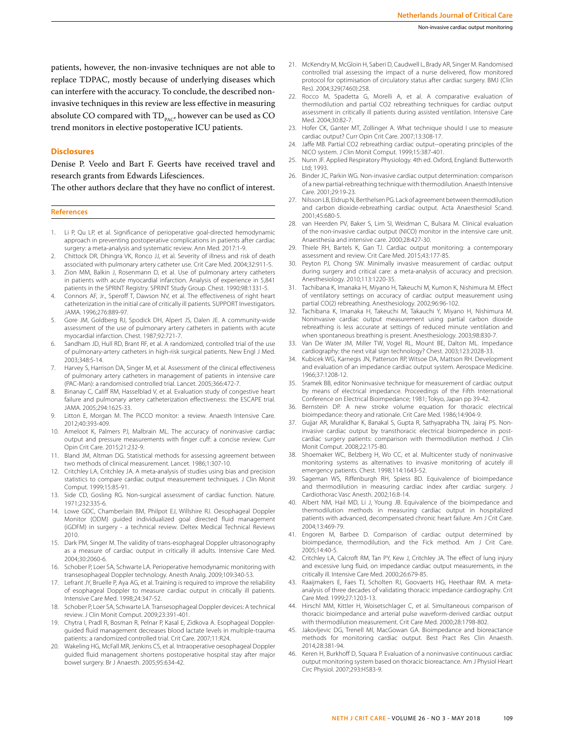invasive techniques in this review are less effective in measuring absolute CO compared with  $TD_{PAC}$ , however can be used as CO trend monitors in elective postoperative ICU patients.

#### **Disclosures**

Denise P. Veelo and Bart F. Geerts have received travel and research grants from Edwards Lifesciences.

The other authors declare that they have no conflict of interest.

#### **References**

- 1. Li P, Qu LP, et al. Significance of perioperative goal-directed hemodynamic approach in preventing postoperative complications in patients after cardiac surgery: a meta-analysis and systematic review. Ann Med. 2017:1-9.
- 2. Chittock DR, Dhingra VK, Ronco JJ, et al. Severity of illness and risk of death associated with pulmonary artery catheter use. Crit Care Med. 2004;32:911-5.
- 3. Zion MM, Balkin J, Rosenmann D, et al. Use of pulmonary artery catheters in patients with acute myocardial infarction. Analysis of experience in 5,841 patients in the SPRINT Registry. SPRINT Study Group. Chest. 1990;98:1331-5.
- 4. Connors AF, Jr., Speroff T, Dawson NV, et al. The effectiveness of right heart catheterization in the initial care of critically ill patients. SUPPORT Investigators. JAMA. 1996;276:889-97.
- 5. Gore JM, Goldberg RJ, Spodick DH, Alpert JS, Dalen JE. A community-wide assessment of the use of pulmonary artery catheters in patients with acute myocardial infarction. Chest. 1987;92:721-7.
- Sandham JD, Hull RD, Brant RF, et al. A randomized, controlled trial of the use of pulmonary-artery catheters in high-risk surgical patients. New Engl J Med. 2003;348:5-14.
- Harvey S, Harrison DA, Singer M, et al. Assessment of the clinical effectiveness of pulmonary artery catheters in management of patients in intensive care (PAC-Man): a randomised controlled trial. Lancet. 2005;366:472-7.
- Binanay C, Califf RM, Hasselblad V, et al. Evaluation study of congestive heart failure and pulmonary artery catheterization effectiveness: the ESCAPE trial. JAMA. 2005;294:1625-33.
- 9. Litton E, Morgan M. The PiCCO monitor: a review. Anaesth Intensive Care. 2012;40:393-409.
- 10. Ameloot K, Palmers PJ, Malbrain ML. The accuracy of noninvasive cardiac output and pressure measurements with finger cuff: a concise review. Curr Opin Crit Care. 2015;21:232-9.
- 11. Bland JM, Altman DG. Statistical methods for assessing agreement between two methods of clinical measurement. Lancet. 1986;1:307-10.
- 12. Critchley LA, Critchley JA. A meta-analysis of studies using bias and precision statistics to compare cardiac output measurement techniques. J Clin Monit Comput. 1999;15:85-91.
- 13. Side CD, Gosling RG. Non-surgical assessment of cardiac function. Nature. 1971;232:335-6.
- 14. Lowe GDC, Chamberlain BM, Philpot EJ, Willshire RJ. Oesophageal Doppler Monitor (ODM) guided individualized goal directed fluid management (iGDFM) in surgery - a technical review. Deltex Medical Technical Reviews 2010.
- 15. Dark PM, Singer M. The validity of trans-esophageal Doppler ultrasonography as a measure of cardiac output in critically ill adults. Intensive Care Med. 2004;30:2060-6.
- 16. Schober P, Loer SA, Schwarte LA. Perioperative hemodynamic monitoring with transesophageal Doppler technology. Anesth Analg. 2009;109:340-53.
- 17. Lefrant JY, Bruelle P, Aya AG, et al. Training is required to improve the reliability of esophageal Doppler to measure cardiac output in critically ill patients. Intensive Care Med. 1998;24:347-52.
- 18. Schober P, Loer SA, Schwarte LA. Transesophageal Doppler devices: A technical review. J Clin Monit Comput. 2009;23:391-401.
- 19. Chytra I, Pradl R, Bosman R, Pelnar P, Kasal E, Zidkova A. Esophageal Dopplerguided fluid management decreases blood lactate levels in multiple-trauma patients: a randomized controlled trial. Crit Care. 2007;11:R24.
- 20. Wakeling HG, McFall MR, Jenkins CS, et al. Intraoperative oesophageal Doppler guided fluid management shortens postoperative hospital stay after major bowel surgery. Br J Anaesth. 2005;95:634-42.
- 21. McKendry M, McGloin H, Saberi D, Caudwell L, Brady AR, Singer M. Randomised controlled trial assessing the impact of a nurse delivered, flow monitored protocol for optimisation of circulatory status after cardiac surgery. BMJ (Clin Res). 2004;329(7460):258.
- 22. Rocco M, Spadetta G, Morelli A, et al. A comparative evaluation of thermodilution and partial CO2 rebreathing techniques for cardiac output assessment in critically ill patients during assisted ventilation. Intensive Care Med. 2004:30:82-7
- 23. Hofer CK, Ganter MT, Zollinger A. What technique should I use to measure cardiac output? Curr Opin Crit Care. 2007;13:308-17.
- 24. Jaffe MB. Partial CO2 rebreathing cardiac output--operating principles of the NICO system. J Clin Monit Comput. 1999;15:387-401.
- 25. Nunn JF. Applied Respiratory Physiology. 4th ed. Oxford, England: Butterworth Ltd; 1993.
- 26. Binder JC, Parkin WG. Non-invasive cardiac output determination: comparison of a new partial-rebreathing technique with thermodilution. Anaesth Intensive Care. 2001;29:19-23.
- 27. Nilsson LB, Eldrup N, Berthelsen PG. Lack of agreement between thermodilution and carbon dioxide-rebreathing cardiac output. Acta Anaesthesiol Scand. 2001;45:680-5.
- 28. van Heerden PV, Baker S, Lim SI, Weidman C, Bulsara M. Clinical evaluation of the non-invasive cardiac output (NICO) monitor in the intensive care unit. Anaesthesia and intensive care. 2000;28:427-30.
- 29. Thiele RH, Bartels K, Gan TJ. Cardiac output monitoring: a contemporary assessment and review. Crit Care Med. 2015;43:177-85.
- 30. Peyton PJ, Chong SW. Minimally invasive measurement of cardiac output during surgery and critical care: a meta-analysis of accuracy and precision. Anesthesiology. 2010;113:1220-35.
- 31. Tachibana K, Imanaka H, Miyano H, Takeuchi M, Kumon K, Nishimura M. Effect of ventilatory settings on accuracy of cardiac output measurement using partial CO(2) rebreathing. Anesthesiology. 2002;96:96-102.
- 32. Tachibana K, Imanaka H, Takeuchi M, Takauchi Y, Miyano H, Nishimura M. Noninvasive cardiac output measurement using partial carbon dioxide rebreathing is less accurate at settings of reduced minute ventilation and when spontaneous breathing is present. Anesthesiology. 2003;98:830-7.
- 33. Van De Water JM, Miller TW, Vogel RL, Mount BE, Dalton ML. Impedance cardiography: the next vital sign technology? Chest. 2003;123:2028-33.
- 34. Kubicek WG, Karnegis JN, Patterson RP, Witsoe DA, Mattson RH. Development and evaluation of an impedance cardiac output system. Aerospace Medicine. 1966;37:1208-12.
- 35. Sramek BB, editor Noninvasive technique for measurement of cardiac output by means of electrical impedance. Proceedings of the Fifth International Conference on Electrical Bioimpedance; 1981; Tokyo, Japan pp 39-42.
- 36. Bernstein DP. A new stroke volume equation for thoracic electrical bioimpedance: theory and rationale. Crit Care Med. 1986;14:904-9.
- 37. Gujjar AR, Muralidhar K, Banakal S, Gupta R, Sathyaprabha TN, Jairaj PS. Noninvasive cardiac output by transthoracic electrical bioimpedence in postcardiac surgery patients: comparison with thermodilution method. J Clin Monit Comput. 2008;22:175-80.
- 38. Shoemaker WC, Belzberg H, Wo CC, et al. Multicenter study of noninvasive monitoring systems as alternatives to invasive monitoring of acutely ill emergency patients. Chest. 1998;114:1643-52.
- 39. Sageman WS, Riffenburgh RH, Spiess BD. Equivalence of bioimpedance and thermodilution in measuring cardiac index after cardiac surgery. J Cardiothorac Vasc Anesth. 2002;16:8-14.
- 40. Albert NM, Hail MD, Li J, Young JB. Equivalence of the bioimpedance and thermodilution methods in measuring cardiac output in hospitalized patients with advanced, decompensated chronic heart failure. Am J Crit Care. 2004;13:469-79.
- 41. Engoren M, Barbee D. Comparison of cardiac output determined by bioimpedance, thermodilution, and the Fick method. Am J Crit Care. 2005;14:40-5.
- 42. Critchley LA, Calcroft RM, Tan PY, Kew J, Critchley JA. The effect of lung injury and excessive lung fluid, on impedance cardiac output measurements, in the critically ill. Intensive Care Med. 2000;26:679-85.
- 43. Raaijmakers E, Faes TJ, Scholten RJ, Goovaerts HG, Heethaar RM. A metaanalysis of three decades of validating thoracic impedance cardiography. Crit Care Med. 1999;27:1203-13.
- 44. Hirschl MM, Kittler H, Woisetschlager C, et al. Simultaneous comparison of thoracic bioimpedance and arterial pulse waveform-derived cardiac output with thermodilution measurement. Crit Care Med. 2000;28:1798-802.
- 45. Jakovljevic DG, Trenell MI, MacGowan GA. Bioimpedance and bioreactance methods for monitoring cardiac output. Best Pract Res Clin Anaesth. 2014;28:381-94.
- 46. Keren H, Burkhoff D, Squara P. Evaluation of a noninvasive continuous cardiac output monitoring system based on thoracic bioreactance. Am J Physiol Heart Circ Physiol. 2007;293:H583-9.